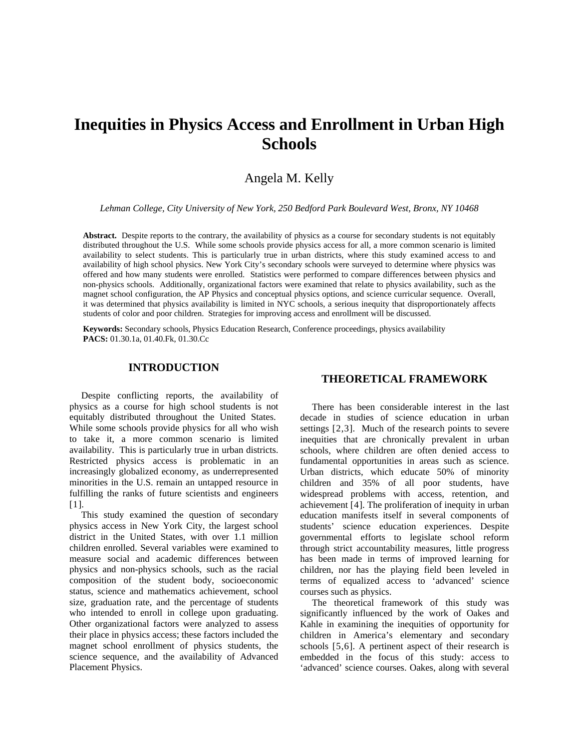# **Inequities in Physics Access and Enrollment in Urban High Schools**

## Angela M. Kelly

*Lehman College, City University of New York, 250 Bedford Park Boulevard West, Bronx, NY 10468* 

**Abstract.** Despite reports to the contrary, the availability of physics as a course for secondary students is not equitably distributed throughout the U.S. While some schools provide physics access for all, a more common scenario is limited availability to select students. This is particularly true in urban districts, where this study examined access to and availability of high school physics. New York City's secondary schools were surveyed to determine where physics was offered and how many students were enrolled. Statistics were performed to compare differences between physics and non-physics schools. Additionally, organizational factors were examined that relate to physics availability, such as the magnet school configuration, the AP Physics and conceptual physics options, and science curricular sequence. Overall, it was determined that physics availability is limited in NYC schools, a serious inequity that disproportionately affects students of color and poor children. Strategies for improving access and enrollment will be discussed.

**Keywords:** Secondary schools, Physics Education Research, Conference proceedings, physics availability **PACS:** 01.30.1a, 01.40.Fk, 01.30.Cc

#### **INTRODUCTION**

 Despite conflicting reports, the availability of physics as a course for high school students is not equitably distributed throughout the United States. While some schools provide physics for all who wish to take it, a more common scenario is limited availability. This is particularly true in urban districts. Restricted physics access is problematic in an increasingly globalized economy, as underrepresented minorities in the U.S. remain an untapped resource in fulfilling the ranks of future scientists and engineers [[1](#page-2-0)].

 This study examined the question of secondary physics access in New York City, the largest school district in the United States, with over 1.1 million children enrolled. Several variables were examined to measure social and academic differences between physics and non-physics schools, such as the racial composition of the student body, socioeconomic status, science and mathematics achievement, school size, graduation rate, and the percentage of students who intended to enroll in college upon graduating. Other organizational factors were analyzed to assess their place in physics access; these factors included the magnet school enrollment of physics students, the science sequence, and the availability of Advanced Placement Physics.

## **THEORETICAL FRAMEWORK**

 There has been considerable interest in the last decade in studies of science education in urban settings [[2](#page-2-1),[3](#page-3-0)]. Much of the research points to severe inequities that are chronically prevalent in urban schools, where children are often denied access to fundamental opportunities in areas such as science. Urban districts, which educate 50% of minority children and 35% of all poor students, have widespread problems with access, retention, and achievement [[4](#page-3-0)]. The proliferation of inequity in urban education manifests itself in several components of students' science education experiences. Despite governmental efforts to legislate school reform through strict accountability measures, little progress has been made in terms of improved learning for children, nor has the playing field been leveled in terms of equalized access to 'advanced' science courses such as physics.

 The theoretical framework of this study was significantly influenced by the work of Oakes and Kahle in examining the inequities of opportunity for children in America's elementary and secondary schools [[5](#page-3-0),[6](#page-3-0)]. A pertinent aspect of their research is embedded in the focus of this study: access to 'advanced' science courses. Oakes, along with several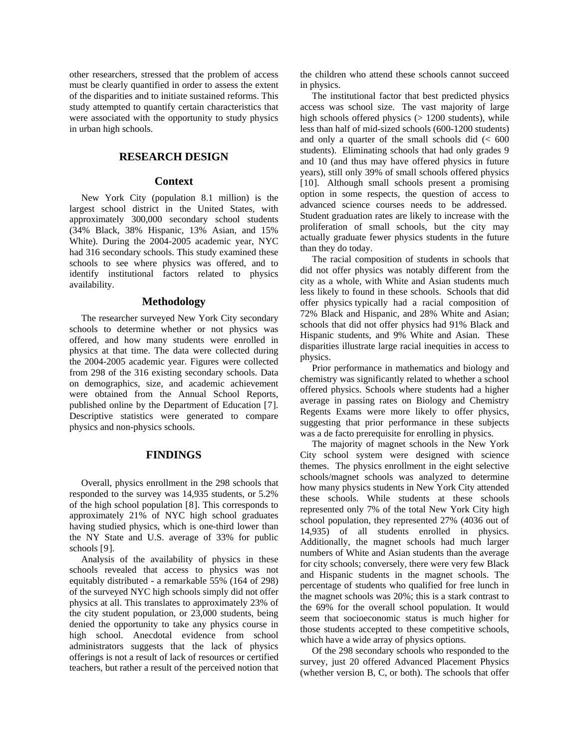other researchers, stressed that the problem of access must be clearly quantified in order to assess the extent of the disparities and to initiate sustained reforms. This study attempted to quantify certain characteristics that were associated with the opportunity to study physics in urban high schools.

#### **RESEARCH DESIGN**

#### **Context**

 New York City (population 8.1 million) is the largest school district in the United States, with approximately 300,000 secondary school students (34% Black, 38% Hispanic, 13% Asian, and 15% White). During the 2004-2005 academic year, NYC had 316 secondary schools. This study examined these schools to see where physics was offered, and to identify institutional factors related to physics availability.

#### **Methodology**

 The researcher surveyed New York City secondary schools to determine whether or not physics was offered, and how many students were enrolled in physics at that time. The data were collected during the 2004-2005 academic year. Figures were collected from 298 of the 316 existing secondary schools. Data on demographics, size, and academic achievement were obtained from the Annual School Reports, published online by the Department of Education [[7](#page-3-0)]. Descriptive statistics were generated to compare physics and non-physics schools.

#### **FINDINGS**

 Overall, physics enrollment in the 298 schools that responded to the survey was 14,935 students, or 5.2% of the high school population [[8](#page-3-0)]. This corresponds to approximately 21% of NYC high school graduates having studied physics, which is one-third lower than the NY State and U.S. average of 33% for public schools [[9](#page-3-0)].

 Analysis of the availability of physics in these schools revealed that access to physics was not equitably distributed - a remarkable 55% (164 of 298) of the surveyed NYC high schools simply did not offer physics at all. This translates to approximately 23% of the city student population, or 23,000 students, being denied the opportunity to take any physics course in high school. Anecdotal evidence from school administrators suggests that the lack of physics offerings is not a result of lack of resources or certified teachers, but rather a result of the perceived notion that

the children who attend these schools cannot succeed in physics.

 The institutional factor that best predicted physics access was school size. The vast majority of large high schools offered physics  $(> 1200$  students), while less than half of mid-sized schools (600-1200 students) and only a quarter of the small schools did  $\leq 600$ students). Eliminating schools that had only grades 9 and 10 (and thus may have offered physics in future years), still only 39% of small schools offered physics [[10](#page-3-0)]. Although small schools present a promising option in some respects, the question of access to advanced science courses needs to be addressed. Student graduation rates are likely to increase with the proliferation of small schools, but the city may actually graduate fewer physics students in the future than they do today.

 The racial composition of students in schools that did not offer physics was notably different from the city as a whole, with White and Asian students much less likely to found in these schools. Schools that did offer physics typically had a racial composition of 72% Black and Hispanic, and 28% White and Asian; schools that did not offer physics had 91% Black and Hispanic students, and 9% White and Asian. These disparities illustrate large racial inequities in access to physics.

 Prior performance in mathematics and biology and chemistry was significantly related to whether a school offered physics. Schools where students had a higher average in passing rates on Biology and Chemistry Regents Exams were more likely to offer physics, suggesting that prior performance in these subjects was a de facto prerequisite for enrolling in physics.

 The majority of magnet schools in the New York City school system were designed with science themes. The physics enrollment in the eight selective schools/magnet schools was analyzed to determine how many physics students in New York City attended these schools. While students at these schools represented only 7% of the total New York City high school population, they represented 27% (4036 out of 14,935) of all students enrolled in physics. Additionally, the magnet schools had much larger numbers of White and Asian students than the average for city schools; conversely, there were very few Black and Hispanic students in the magnet schools. The percentage of students who qualified for free lunch in the magnet schools was 20%; this is a stark contrast to the 69% for the overall school population. It would seem that socioeconomic status is much higher for those students accepted to these competitive schools, which have a wide array of physics options.

 Of the 298 secondary schools who responded to the survey, just 20 offered Advanced Placement Physics (whether version B, C, or both). The schools that offer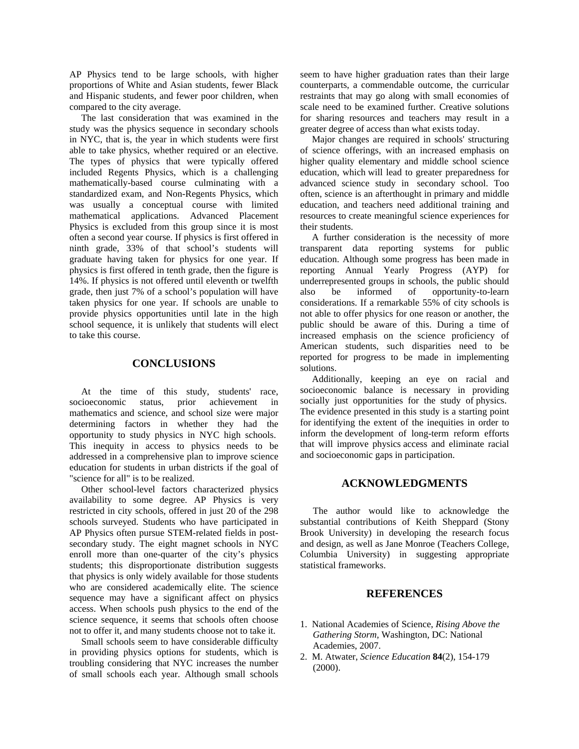AP Physics tend to be large schools, with higher proportions of White and Asian students, fewer Black and Hispanic students, and fewer poor children, when compared to the city average.

 The last consideration that was examined in the study was the physics sequence in secondary schools in NYC, that is, the year in which students were first able to take physics, whether required or an elective. The types of physics that were typically offered included Regents Physics, which is a challenging mathematically-based course culminating with a standardized exam, and Non-Regents Physics, which was usually a conceptual course with limited mathematical applications. Advanced Placement Physics is excluded from this group since it is most often a second year course. If physics is first offered in ninth grade, 33% of that school's students will graduate having taken for physics for one year. If physics is first offered in tenth grade, then the figure is 14%. If physics is not offered until eleventh or twelfth grade, then just 7% of a school's population will have taken physics for one year. If schools are unable to provide physics opportunities until late in the high school sequence, it is unlikely that students will elect to take this course.

## **CONCLUSIONS**

<span id="page-2-1"></span> At the time of this study, students' race, socioeconomic status, prior achievement in mathematics and science, and school size were major determining factors in whether they had the opportunity to study physics in NYC high schools. This inequity in access to physics needs to be addressed in a comprehensive plan to improve science education for students in urban districts if the goal of "science for all" is to be realized.

 Other school-level factors characterized physics availability to some degree. AP Physics is very restricted in city schools, offered in just 20 of the 298 schools surveyed. Students who have participated in AP Physics often pursue STEM-related fields in postsecondary study. The eight magnet schools in NYC enroll more than one-quarter of the city's physics students; this disproportionate distribution suggests that physics is only widely available for those students who are considered academically elite. The science sequence may have a significant affect on physics access. When schools push physics to the end of the science sequence, it seems that schools often choose not to offer it, and many students choose not to take it.

<span id="page-2-0"></span> Small schools seem to have considerable difficulty in providing physics options for students, which is troubling considering that NYC increases the number of small schools each year. Although small schools

seem to have higher graduation rates than their large counterparts, a commendable outcome, the curricular restraints that may go along with small economies of scale need to be examined further. Creative solutions for sharing resources and teachers may result in a greater degree of access than what exists today.

 Major changes are required in schools' structuring of science offerings, with an increased emphasis on higher quality elementary and middle school science education, which will lead to greater preparedness for advanced science study in secondary school. Too often, science is an afterthought in primary and middle education, and teachers need additional training and resources to create meaningful science experiences for their students.

 A further consideration is the necessity of more transparent data reporting systems for public education. Although some progress has been made in reporting Annual Yearly Progress (AYP) for underrepresented groups in schools, the public should also be informed of opportunity-to-learn considerations. If a remarkable 55% of city schools is not able to offer physics for one reason or another, the public should be aware of this. During a time of increased emphasis on the science proficiency of American students, such disparities need to be reported for progress to be made in implementing solutions.

 Additionally, keeping an eye on racial and socioeconomic balance is necessary in providing socially just opportunities for the study of physics. The evidence presented in this study is a starting point for identifying the extent of the inequities in order to inform the development of long-term reform efforts that will improve physics access and eliminate racial and socioeconomic gaps in participation.

## **ACKNOWLEDGMENTS**

The author would like to acknowledge the substantial contributions of Keith Sheppard (Stony Brook University) in developing the research focus and design, as well as Jane Monroe (Teachers College, Columbia University) in suggesting appropriate statistical frameworks.

### **REFERENCES**

- 1. National Academies of Science, *Rising Above the Gathering Storm,* Washington, DC: National Academies, 2007.
- 2. M. Atwater, *Science Education* **84**(2), 154-179 (2000).